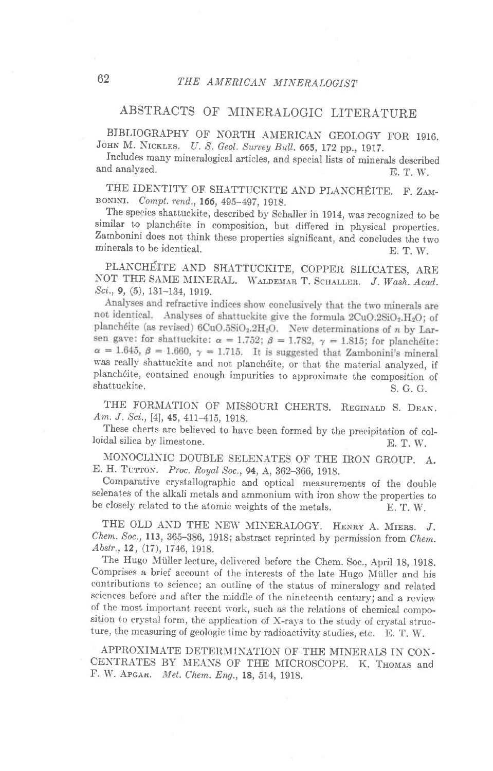## ABSTRACTS OF MINERALOGIC LITERATURE

BIBLIOGRAPHY OF NORTH AMERICAN GEOLOGY FOR 1916. JOHN M. NICKLES. U. S. Geol. Survey Bull. 665, 172 pp., 1917.

rncludes many mineralogical articles, and special lists of minerals described and analyzed. E. T. W.

THE IDENTITY OF SHATTUCKITE AND PLANCHÉITE. F. ZAM-BONINI. Compt. rend., 166, 495-497, 1918.

minerals to be identical. E. T. W. Interspecies shattuckite, described by Schaller in 1914, was recognized to be similar to planchéite in composition, but differed in physical properties. The species shattuckite, described by Schaller in 1914, was recognized to be Zambonini does not think these properties significant, and concludes the two

PLANCHÉITE AND SHATTUCKITE, COPPER SILICATES, ARE NOT THE SAME MINERAL. WALDEMAR T. SCHALLER. J. Wash. Acad. Sci., 9, (5), 131-134, 1919.<br>Analyses and refractive indices show conclusively that the two minerals are

not identical. Analyses of shattuckite give the formula 2CuO.2SiO<sub>2</sub>.H<sub>2</sub>O; of planchéite (as revised)  $6CuO.5SiO<sub>2</sub>.2H<sub>2</sub>O$ . New determinations of n by Larsen gave: for shattuckite:  $\alpha = 1.752$ ;  $\beta = 1.782$ ,  $\gamma = 1.815$ ; for planchéite:  $\alpha = 1.645$ ,  $\beta = 1.660$ ,  $\gamma = 1.715$ . It is suggested that Zambonini's mineral was really shattuckite and not planchdite, or that the material analyzed, if planchéite, contained enough impurities to approximate the composition of shattuckite. shattuckite. S. G. G.

THE FORMATION OF MISSOURI CHERTS. REGINALD S. DEAN. Am. J. Sci., [4], 45, 411-415, 1918.

These cherts are believed to have been formed by the precipitation of colloidal silica by limestone. E. T, W.

MONOCLINIC DOUBLE SELENATES OF THE IRON GROUP. A. E. H. TUTTON. Proc. Royal Soc., 94, A, 362-366, 1918.

Comparative erystallographic and optical measurements of the double selenates of the alkali metals and ammonium with iron show the properties to be closely related to the atomic weights of the metals. E. T. W.

THE OLD AND THE NEW MINERALOGY. HENRY A. MIERS. J. Chem. Soc., 113, 365-386, 1918; abstract reprinted by permission from Chem. Abstr., 12, (17), 1746, 1918.

The Hugo Müller lecture, delivered before the Chem. Soc., April 18, 1918. comprises a brief account of the interests of the late Hugo Miiller and his contributions to science; an outline of the status of mineralogy and related sciences before and after the middle of the nineteenth century; and a review of the most important recent work, such as the relations of chemical composition to crystal form, the application of X-rays to the study of crystal structure, the measuring of geologic time by radioactivity studies, etc. E. T. W.

APPROXIMATE DETERMINATION OF THE MINERALS IN CON-CENTRATES BY MEANS OF THE MICROSCOPE. K. THOMAS and F. W. APGAR. Met. Chem. Eng., 18, 514, 1918.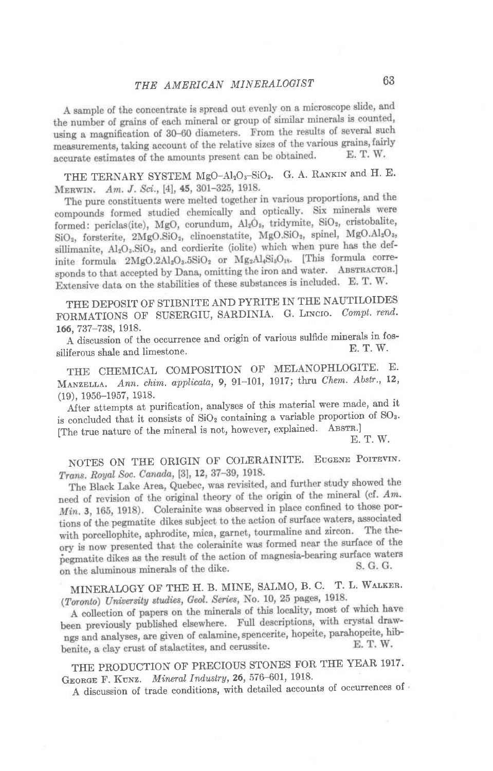A sample of the concentrate is spread out evenly on a microscope slide, and the number of grains of each mineral or group of similar minerals is counted, using a magnification of 30-60 diameters. From the results of several such measurements, taking account of the relative sizes of the various grains, fairly accurate estimates of the amounts present can be obtained. E. T. W.

THE TERNARY SYSTEM MgO-Al<sub>2</sub>O<sub>3</sub>-SiO<sub>2</sub>. G. A. RANKIN and H. E. MERWIN. Am. J. Sci., [4], 45, 301-325, 1918.

The pure constituents were melted together in various proportions, and the compounds formed studied chemically and optically. Six minerals were formed: periclas(ite), MgO, corundum, Al2O<sub>s</sub>, tridymite, SiO<sub>2</sub>, cristobalite, SiO<sub>2</sub>, forsterite, 2MgO.SiO<sub>2</sub>, clinoenstatite, MgO.SiO<sub>2</sub>, spinel, MgO.Al<sub>2</sub>O<sub>3</sub>, sillimanite, Al<sub>2</sub>O<sub>3</sub>.SiO<sub>2</sub>, and cordierite (iolite) which when pure has the definite formula  $2MgO.2Al_2O_3.5SiO_2$  or  $Mg_2Al_4Si_5O_{18}$ . [This formula corresponds to that accepted by Dana, omitting the iron and water. ABSTRACTOR.] Extensive data on the stabilities of these substances is included. E.T.W.

THE DEPOSIT OF STIBNITE AND PYRITE IN THE NAUTILOIDES FORMATIONS OF SUSERGIU, SARDINIA. G. LINCIO. Compt. rend. 166, 737-738, 1918.

A discussion of the occurrence and origin of various sulfide minerals in fos-E. T. W. siliferous shale and limestone.

THE CHEMICAL COMPOSITION OF MELANOPHLOGITE. E. MANZELLA. Ann. chim. applicata, 9, 91-101, 1917; thru Chem. Abstr., 12,  $(19), 1956 - 1957, 1918.$ 

After attempts at purification, analyses of this material were made, and it is concluded that it consists of SiO<sub>2</sub> containing a variable proportion of SO<sub>3</sub>. [The true nature of the mineral is not, however, explained. ABSTR.]

E. T. W.

NOTES ON THE ORIGIN OF COLERAINITE. EUGENE POITEVIN. Trans. Royal Soc. Canada, [3], 12, 37-39, 1918.

The Black Lake Area, Quebec, was revisited, and further study showed the need of revision of the original theory of the origin of the mineral (cf. Am. Min. 3, 165, 1918). Colerainite was observed in place confined to those portions of the pegmatite dikes subject to the action of surface waters, associated with porcellophite, aphrodite, mica, garnet, tourmaline and zircon. The theory is now presented that the colerainite was formed near the surface of the pegmatite dikes as the result of the action of magnesia-bearing surface waters S. G. G. on the aluminous minerals of the dike.

MINERALOGY OF THE H. B. MINE, SALMO, B. C. T. L. WALKER. (Toronto) University studies, Geol. Series, No. 10, 25 pages, 1918.

A collection of papers on the minerals of this locality, most of which have been previously published elsewhere. Full descriptions, with crystal drawngs and analyses, are given of calamine, spencerite, hopeite, parahopeite, hib-E. T. W. benite, a clay crust of stalactites, and cerussite.

THE PRODUCTION OF PRECIOUS STONES FOR THE YEAR 1917. GEORGE F. KUNZ. Mineral Industry, 26, 576-601, 1918.

A discussion of trade conditions, with detailed accounts of occurrences of